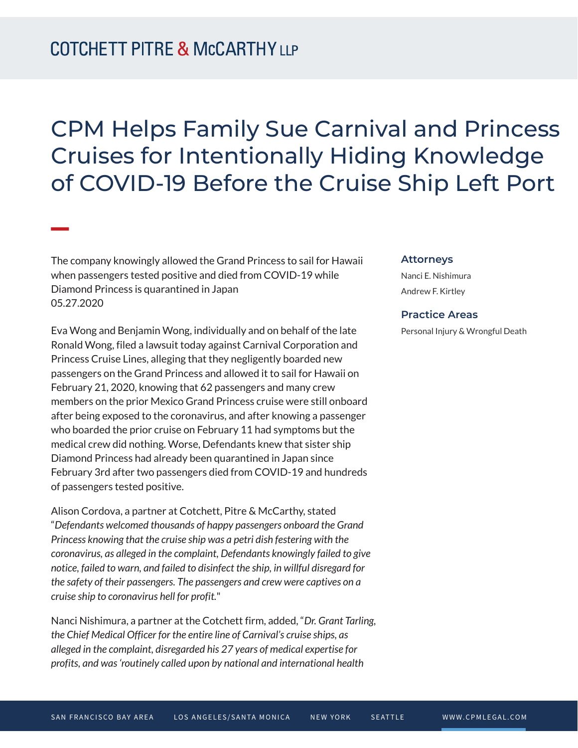**William Company** 

## CPM Helps Family Sue Carnival and Princess Cruises for Intentionally Hiding Knowledge of COVID-19 Before the Cruise Ship Left Port

The company knowingly allowed the Grand Princess to sail for Hawaii when passengers tested positive and died from COVID-19 while Diamond Princess is quarantined in Japan 05.27.2020

Eva Wong and Benjamin Wong, individually and on behalf of the late Ronald Wong, filed a lawsuit today against Carnival Corporation and Princess Cruise Lines, alleging that they negligently boarded new passengers on the Grand Princess and allowed it to sail for Hawaii on February 21, 2020, knowing that 62 passengers and many crew members on the prior Mexico Grand Princess cruise were still onboard after being exposed to the coronavirus, and after knowing a passenger who boarded the prior cruise on February 11 had symptoms but the medical crew did nothing. Worse, Defendants knew that sister ship Diamond Princess had already been quarantined in Japan since February 3rd after two passengers died from COVID-19 and hundreds of passengers tested positive.

Alison Cordova, a partner at Cotchett, Pitre & McCarthy, stated "*Defendants welcomed thousands of happy passengers onboard the Grand Princess knowing that the cruise ship was a petri dish festering with the coronavirus, as alleged in the complaint, Defendants knowingly failed to give notice, failed to warn, and failed to disinfect the ship, in willful disregard for the safety of their passengers. The passengers and crew were captives on a cruise ship to coronavirus hell for profit.*"

Nanci Nishimura, a partner at the Cotchett firm, added, "*Dr. Grant Tarling, the Chief Medical Officer for the entire line of Carnival's cruise ships, as alleged in the complaint, disregarded his 27 years of medical expertise for profits, and was 'routinely called upon by national and international health*

## **Attorneys**

Nanci E. Nishimura Andrew F. Kirtley

## **Practice Areas**

Personal Injury & Wrongful Death